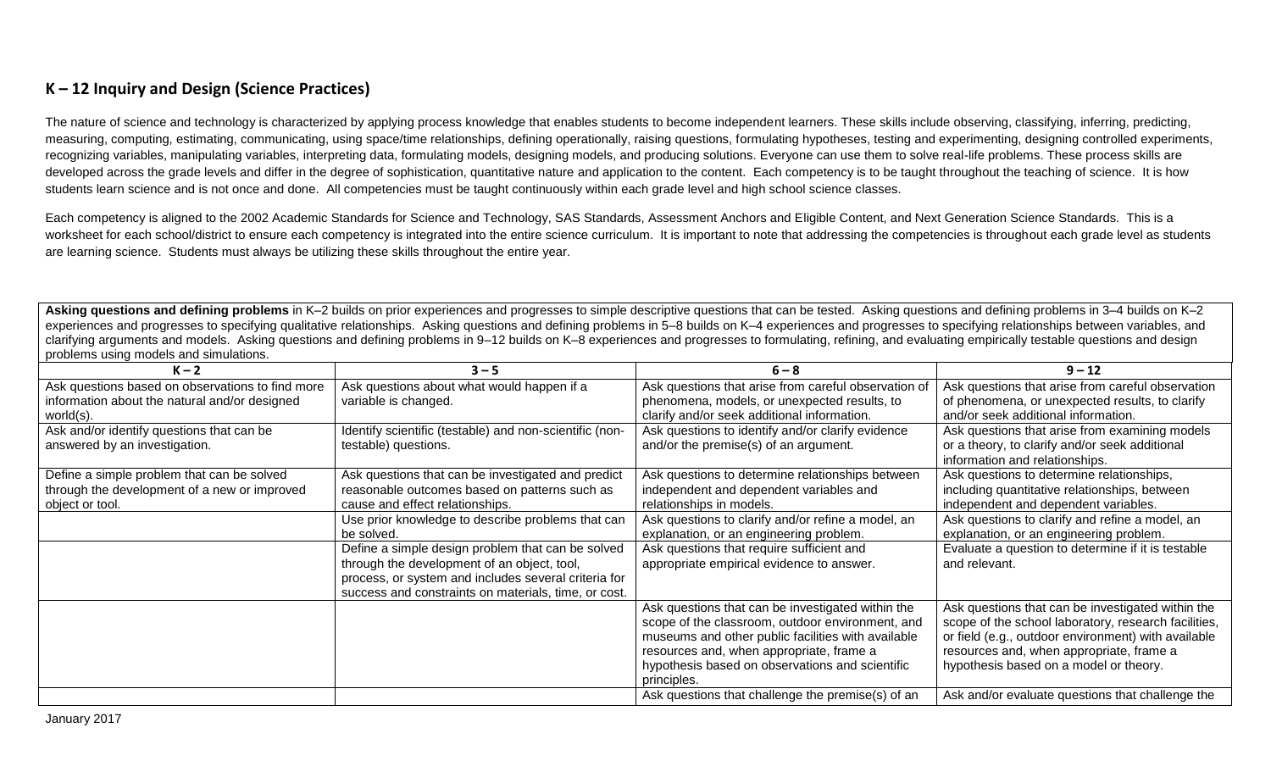## **K – 12 Inquiry and Design (Science Practices)**

The nature of science and technology is characterized by applying process knowledge that enables students to become independent learners. These skills include observing, classifying, inferring, predicting, measuring, computing, estimating, communicating, using space/time relationships, defining operationally, raising questions, formulating hypotheses, testing and experimenting, designing controlled experiments, recognizing variables, manipulating variables, interpreting data, formulating models, designing models, and producing solutions. Everyone can use them to solve real-life problems. These process skills are developed across the grade levels and differ in the degree of sophistication, quantitative nature and application to the content. Each competency is to be taught throughout the teaching of science. It is how students learn science and is not once and done. All competencies must be taught continuously within each grade level and high school science classes.

Each competency is aligned to the 2002 Academic Standards for Science and Technology, SAS Standards, Assessment Anchors and Eligible Content, and Next Generation Science Standards. This is a worksheet for each school/district to ensure each competency is integrated into the entire science curriculum. It is important to note that addressing the competencies is throughout each grade level as students are learning science. Students must always be utilizing these skills throughout the entire year.

**Asking questions and defining problems** in K–2 builds on prior experiences and progresses to simple descriptive questions that can be tested. Asking questions and defining problems in 3–4 builds on K–2 experiences and progresses to specifying qualitative relationships. Asking questions and defining problems in 5–8 builds on K–4 experiences and progresses to specifying relationships between variables, and clarifying arguments and models. Asking questions and defining problems in 9–12 builds on K–8 experiences and progresses to formulating, refining, and evaluating empirically testable questions and design problems using models and simulations.

| $K - 2$                                                                                                        | $3 - 5$                                                                         | $6 - 8$                                                                                                                                                                                                 | $9 - 12$                                                                                                                                                                                                     |
|----------------------------------------------------------------------------------------------------------------|---------------------------------------------------------------------------------|---------------------------------------------------------------------------------------------------------------------------------------------------------------------------------------------------------|--------------------------------------------------------------------------------------------------------------------------------------------------------------------------------------------------------------|
| Ask questions based on observations to find more<br>information about the natural and/or designed<br>world(s). | Ask questions about what would happen if a<br>variable is changed.              | Ask questions that arise from careful observation of<br>phenomena, models, or unexpected results, to<br>clarify and/or seek additional information.                                                     | Ask questions that arise from careful observation<br>of phenomena, or unexpected results, to clarify<br>and/or seek additional information.                                                                  |
| Ask and/or identify questions that can be<br>answered by an investigation.                                     | Identify scientific (testable) and non-scientific (non-<br>testable) questions. | Ask questions to identify and/or clarify evidence<br>and/or the premise(s) of an argument.                                                                                                              | Ask questions that arise from examining models<br>or a theory, to clarify and/or seek additional<br>information and relationships.                                                                           |
| Define a simple problem that can be solved                                                                     | Ask questions that can be investigated and predict                              | Ask questions to determine relationships between                                                                                                                                                        | Ask questions to determine relationships,                                                                                                                                                                    |
| through the development of a new or improved                                                                   | reasonable outcomes based on patterns such as                                   | independent and dependent variables and                                                                                                                                                                 | including quantitative relationships, between                                                                                                                                                                |
| object or tool.                                                                                                | cause and effect relationships.                                                 | relationships in models.                                                                                                                                                                                | independent and dependent variables.                                                                                                                                                                         |
|                                                                                                                | Use prior knowledge to describe problems that can                               | Ask questions to clarify and/or refine a model, an                                                                                                                                                      | Ask questions to clarify and refine a model, an                                                                                                                                                              |
|                                                                                                                | be solved.                                                                      | explanation, or an engineering problem.                                                                                                                                                                 | explanation, or an engineering problem.                                                                                                                                                                      |
|                                                                                                                | Define a simple design problem that can be solved                               | Ask questions that require sufficient and                                                                                                                                                               | Evaluate a question to determine if it is testable                                                                                                                                                           |
|                                                                                                                | through the development of an object, tool,                                     | appropriate empirical evidence to answer.                                                                                                                                                               | and relevant.                                                                                                                                                                                                |
|                                                                                                                | process, or system and includes several criteria for                            |                                                                                                                                                                                                         |                                                                                                                                                                                                              |
|                                                                                                                | success and constraints on materials, time, or cost.                            |                                                                                                                                                                                                         |                                                                                                                                                                                                              |
|                                                                                                                |                                                                                 | Ask questions that can be investigated within the<br>scope of the classroom, outdoor environment, and<br>museums and other public facilities with available<br>resources and, when appropriate, frame a | Ask questions that can be investigated within the<br>scope of the school laboratory, research facilities,<br>or field (e.g., outdoor environment) with available<br>resources and, when appropriate, frame a |
|                                                                                                                |                                                                                 | hypothesis based on observations and scientific<br>principles.                                                                                                                                          | hypothesis based on a model or theory.                                                                                                                                                                       |
|                                                                                                                |                                                                                 | Ask questions that challenge the premise(s) of an                                                                                                                                                       | Ask and/or evaluate questions that challenge the                                                                                                                                                             |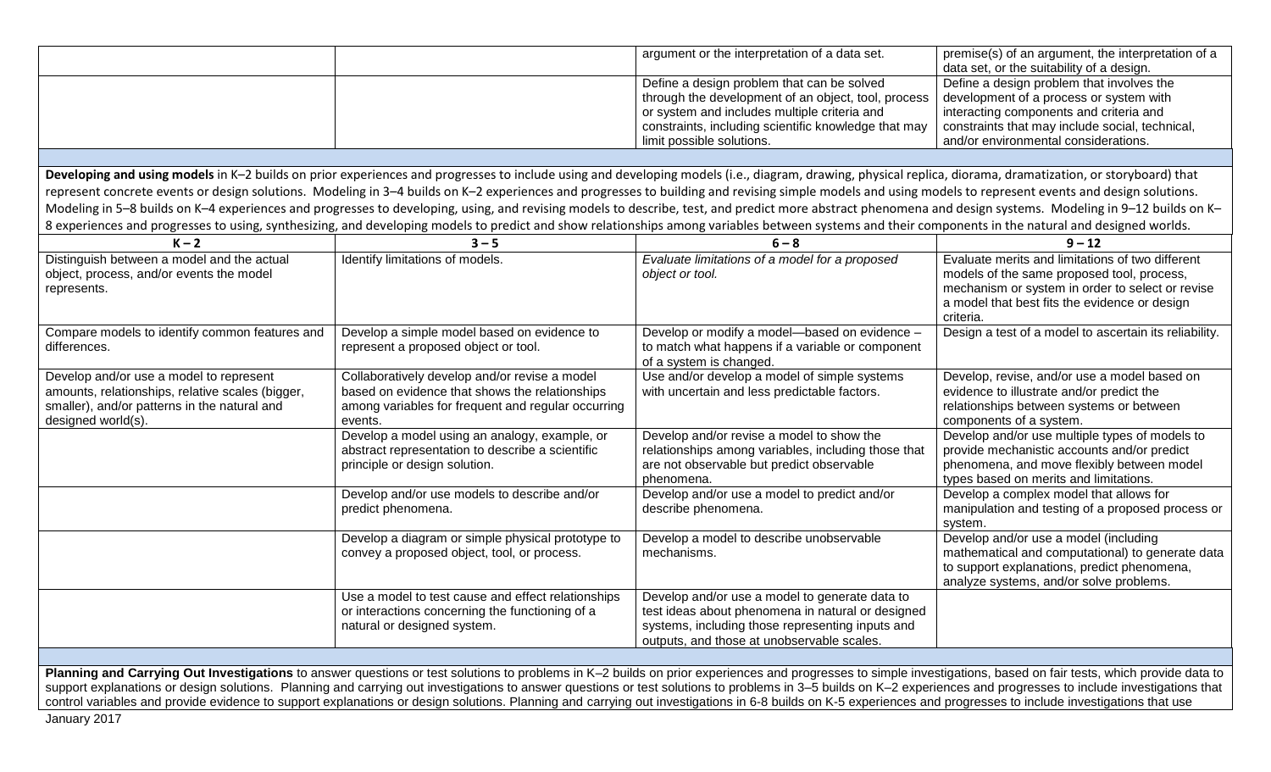|                                                                                                                                                                                                                                                                                                                                                                                                                                                                                                                                                                                                                                                             |                                                                                                                                                                  | argument or the interpretation of a data set.                                                                                                                                                                                                                                                                                                                                                                                                                                                                                                                                                                                                                                                                                                                                                                                                    | premise(s) of an argument, the interpretation of a<br>data set, or the suitability of a design.                                                                                                                            |
|-------------------------------------------------------------------------------------------------------------------------------------------------------------------------------------------------------------------------------------------------------------------------------------------------------------------------------------------------------------------------------------------------------------------------------------------------------------------------------------------------------------------------------------------------------------------------------------------------------------------------------------------------------------|------------------------------------------------------------------------------------------------------------------------------------------------------------------|--------------------------------------------------------------------------------------------------------------------------------------------------------------------------------------------------------------------------------------------------------------------------------------------------------------------------------------------------------------------------------------------------------------------------------------------------------------------------------------------------------------------------------------------------------------------------------------------------------------------------------------------------------------------------------------------------------------------------------------------------------------------------------------------------------------------------------------------------|----------------------------------------------------------------------------------------------------------------------------------------------------------------------------------------------------------------------------|
|                                                                                                                                                                                                                                                                                                                                                                                                                                                                                                                                                                                                                                                             |                                                                                                                                                                  | Define a design problem that can be solved<br>through the development of an object, tool, process<br>or system and includes multiple criteria and<br>constraints, including scientific knowledge that may<br>limit possible solutions.                                                                                                                                                                                                                                                                                                                                                                                                                                                                                                                                                                                                           | Define a design problem that involves the<br>development of a process or system with<br>interacting components and criteria and<br>constraints that may include social, technical,<br>and/or environmental considerations. |
|                                                                                                                                                                                                                                                                                                                                                                                                                                                                                                                                                                                                                                                             |                                                                                                                                                                  |                                                                                                                                                                                                                                                                                                                                                                                                                                                                                                                                                                                                                                                                                                                                                                                                                                                  |                                                                                                                                                                                                                            |
|                                                                                                                                                                                                                                                                                                                                                                                                                                                                                                                                                                                                                                                             |                                                                                                                                                                  | Developing and using models in K-2 builds on prior experiences and progresses to include using and developing models (i.e., diagram, drawing, physical replica, diorama, dramatization, or storyboard) that<br>represent concrete events or design solutions. Modeling in 3-4 builds on K-2 experiences and progresses to building and revising simple models and using models to represent events and design solutions.<br>Modeling in 5-8 builds on K-4 experiences and progresses to developing, using, and revising models to describe, test, and predict more abstract phenomena and design systems. Modeling in 9-12 builds on K-<br>8 experiences and progresses to using, synthesizing, and developing models to predict and show relationships among variables between systems and their components in the natural and designed worlds. |                                                                                                                                                                                                                            |
| $K - 2$                                                                                                                                                                                                                                                                                                                                                                                                                                                                                                                                                                                                                                                     | $3 - 5$                                                                                                                                                          | $6 - 8$                                                                                                                                                                                                                                                                                                                                                                                                                                                                                                                                                                                                                                                                                                                                                                                                                                          | $9 - 12$                                                                                                                                                                                                                   |
| Distinguish between a model and the actual<br>object, process, and/or events the model<br>represents.                                                                                                                                                                                                                                                                                                                                                                                                                                                                                                                                                       | Identify limitations of models.                                                                                                                                  | Evaluate limitations of a model for a proposed<br>object or tool.                                                                                                                                                                                                                                                                                                                                                                                                                                                                                                                                                                                                                                                                                                                                                                                | Evaluate merits and limitations of two different<br>models of the same proposed tool, process,<br>mechanism or system in order to select or revise<br>a model that best fits the evidence or design<br>criteria.           |
| Compare models to identify common features and<br>differences.                                                                                                                                                                                                                                                                                                                                                                                                                                                                                                                                                                                              | Develop a simple model based on evidence to<br>represent a proposed object or tool.                                                                              | Develop or modify a model-based on evidence -<br>to match what happens if a variable or component<br>of a system is changed.                                                                                                                                                                                                                                                                                                                                                                                                                                                                                                                                                                                                                                                                                                                     | Design a test of a model to ascertain its reliability.                                                                                                                                                                     |
| Develop and/or use a model to represent<br>amounts, relationships, relative scales (bigger,<br>smaller), and/or patterns in the natural and<br>designed world(s).                                                                                                                                                                                                                                                                                                                                                                                                                                                                                           | Collaboratively develop and/or revise a model<br>based on evidence that shows the relationships<br>among variables for frequent and regular occurring<br>events. | Use and/or develop a model of simple systems<br>with uncertain and less predictable factors.                                                                                                                                                                                                                                                                                                                                                                                                                                                                                                                                                                                                                                                                                                                                                     | Develop, revise, and/or use a model based on<br>evidence to illustrate and/or predict the<br>relationships between systems or between<br>components of a system.                                                           |
|                                                                                                                                                                                                                                                                                                                                                                                                                                                                                                                                                                                                                                                             | Develop a model using an analogy, example, or<br>abstract representation to describe a scientific<br>principle or design solution.                               | Develop and/or revise a model to show the<br>relationships among variables, including those that<br>are not observable but predict observable<br>phenomena.                                                                                                                                                                                                                                                                                                                                                                                                                                                                                                                                                                                                                                                                                      | Develop and/or use multiple types of models to<br>provide mechanistic accounts and/or predict<br>phenomena, and move flexibly between model<br>types based on merits and limitations.                                      |
|                                                                                                                                                                                                                                                                                                                                                                                                                                                                                                                                                                                                                                                             | Develop and/or use models to describe and/or<br>predict phenomena.                                                                                               | Develop and/or use a model to predict and/or<br>describe phenomena.                                                                                                                                                                                                                                                                                                                                                                                                                                                                                                                                                                                                                                                                                                                                                                              | Develop a complex model that allows for<br>manipulation and testing of a proposed process or<br>system.                                                                                                                    |
|                                                                                                                                                                                                                                                                                                                                                                                                                                                                                                                                                                                                                                                             | Develop a diagram or simple physical prototype to<br>convey a proposed object, tool, or process.                                                                 | Develop a model to describe unobservable<br>mechanisms.                                                                                                                                                                                                                                                                                                                                                                                                                                                                                                                                                                                                                                                                                                                                                                                          | Develop and/or use a model (including<br>mathematical and computational) to generate data<br>to support explanations, predict phenomena,<br>analyze systems, and/or solve problems.                                        |
|                                                                                                                                                                                                                                                                                                                                                                                                                                                                                                                                                                                                                                                             | Use a model to test cause and effect relationships<br>or interactions concerning the functioning of a<br>natural or designed system.                             | Develop and/or use a model to generate data to<br>test ideas about phenomena in natural or designed<br>systems, including those representing inputs and<br>outputs, and those at unobservable scales.                                                                                                                                                                                                                                                                                                                                                                                                                                                                                                                                                                                                                                            |                                                                                                                                                                                                                            |
|                                                                                                                                                                                                                                                                                                                                                                                                                                                                                                                                                                                                                                                             |                                                                                                                                                                  |                                                                                                                                                                                                                                                                                                                                                                                                                                                                                                                                                                                                                                                                                                                                                                                                                                                  |                                                                                                                                                                                                                            |
| Planning and Carrying Out Investigations to answer questions or test solutions to problems in K-2 builds on prior experiences and progresses to simple investigations, based on fair tests, which provide data to<br>support explanations or design solutions. Planning and carrying out investigations to answer questions or test solutions to problems in 3-5 builds on K-2 experiences and progresses to include investigations that<br>control variables and provide evidence to support explanations or design solutions. Planning and carrying out investigations in 6-8 builds on K-5 experiences and progresses to include investigations that use |                                                                                                                                                                  |                                                                                                                                                                                                                                                                                                                                                                                                                                                                                                                                                                                                                                                                                                                                                                                                                                                  |                                                                                                                                                                                                                            |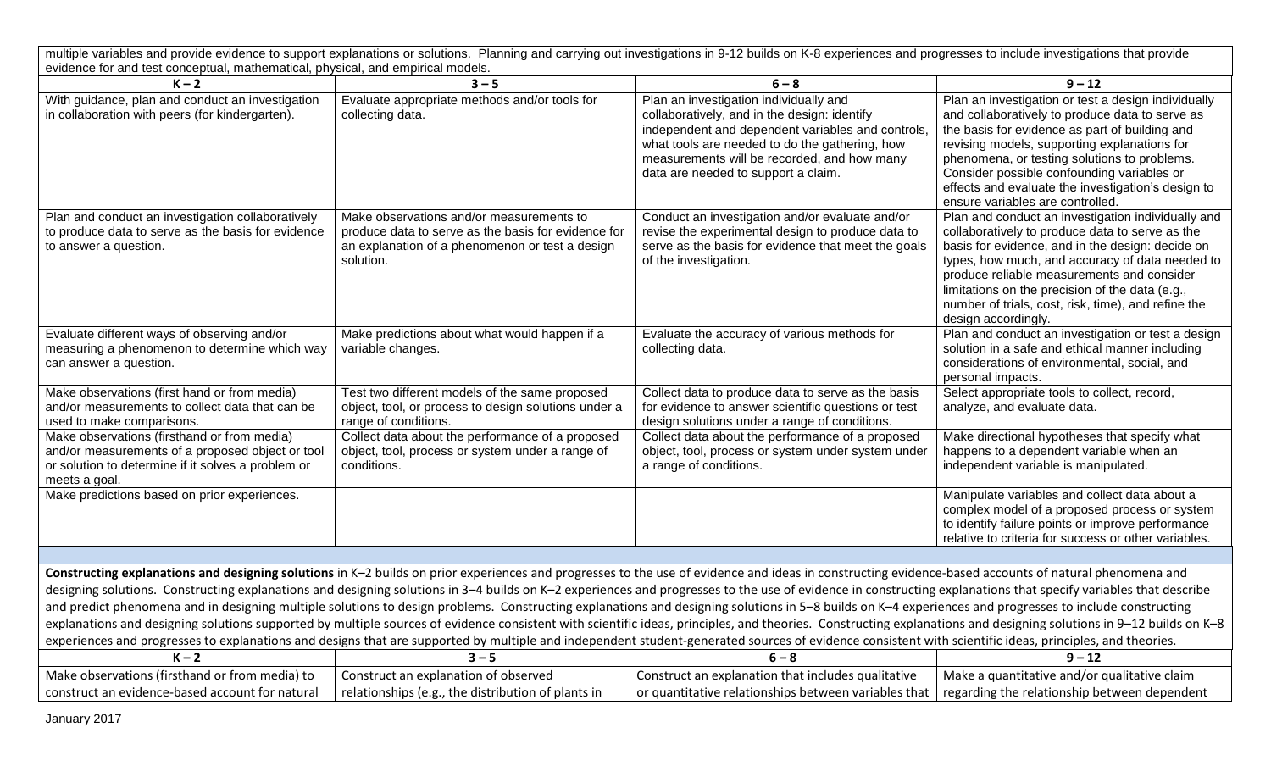| multiple variables and provide evidence to support explanations or solutions. Planning and carrying out investigations in 9-12 builds on K-8 experiences and progresses to include investigations that provide                                                                                                                                                                                                                                                                                                                                                                                                                                                                                                                                                                                                                                                                                                                                                                                                                                                       |                                                                                                                                                                 |                                                                                                                                                                                                                                                                                                |                                                                                                                                                                                                                                                                                                                                                                                                                                 |  |  |
|----------------------------------------------------------------------------------------------------------------------------------------------------------------------------------------------------------------------------------------------------------------------------------------------------------------------------------------------------------------------------------------------------------------------------------------------------------------------------------------------------------------------------------------------------------------------------------------------------------------------------------------------------------------------------------------------------------------------------------------------------------------------------------------------------------------------------------------------------------------------------------------------------------------------------------------------------------------------------------------------------------------------------------------------------------------------|-----------------------------------------------------------------------------------------------------------------------------------------------------------------|------------------------------------------------------------------------------------------------------------------------------------------------------------------------------------------------------------------------------------------------------------------------------------------------|---------------------------------------------------------------------------------------------------------------------------------------------------------------------------------------------------------------------------------------------------------------------------------------------------------------------------------------------------------------------------------------------------------------------------------|--|--|
| evidence for and test conceptual, mathematical, physical, and empirical models.                                                                                                                                                                                                                                                                                                                                                                                                                                                                                                                                                                                                                                                                                                                                                                                                                                                                                                                                                                                      |                                                                                                                                                                 |                                                                                                                                                                                                                                                                                                |                                                                                                                                                                                                                                                                                                                                                                                                                                 |  |  |
| $K - 2$<br>With guidance, plan and conduct an investigation<br>in collaboration with peers (for kindergarten).                                                                                                                                                                                                                                                                                                                                                                                                                                                                                                                                                                                                                                                                                                                                                                                                                                                                                                                                                       | $3 - 5$<br>Evaluate appropriate methods and/or tools for<br>collecting data.                                                                                    | $6 - 8$<br>Plan an investigation individually and<br>collaboratively, and in the design: identify<br>independent and dependent variables and controls,<br>what tools are needed to do the gathering, how<br>measurements will be recorded, and how many<br>data are needed to support a claim. | $9 - 12$<br>Plan an investigation or test a design individually<br>and collaboratively to produce data to serve as<br>the basis for evidence as part of building and<br>revising models, supporting explanations for<br>phenomena, or testing solutions to problems.<br>Consider possible confounding variables or<br>effects and evaluate the investigation's design to                                                        |  |  |
| Plan and conduct an investigation collaboratively<br>to produce data to serve as the basis for evidence<br>to answer a question.                                                                                                                                                                                                                                                                                                                                                                                                                                                                                                                                                                                                                                                                                                                                                                                                                                                                                                                                     | Make observations and/or measurements to<br>produce data to serve as the basis for evidence for<br>an explanation of a phenomenon or test a design<br>solution. | Conduct an investigation and/or evaluate and/or<br>revise the experimental design to produce data to<br>serve as the basis for evidence that meet the goals<br>of the investigation.                                                                                                           | ensure variables are controlled.<br>Plan and conduct an investigation individually and<br>collaboratively to produce data to serve as the<br>basis for evidence, and in the design: decide on<br>types, how much, and accuracy of data needed to<br>produce reliable measurements and consider<br>limitations on the precision of the data (e.g.,<br>number of trials, cost, risk, time), and refine the<br>design accordingly. |  |  |
| Evaluate different ways of observing and/or<br>measuring a phenomenon to determine which way<br>can answer a question.                                                                                                                                                                                                                                                                                                                                                                                                                                                                                                                                                                                                                                                                                                                                                                                                                                                                                                                                               | Make predictions about what would happen if a<br>variable changes.                                                                                              | Evaluate the accuracy of various methods for<br>collecting data.                                                                                                                                                                                                                               | Plan and conduct an investigation or test a design<br>solution in a safe and ethical manner including<br>considerations of environmental, social, and<br>personal impacts.                                                                                                                                                                                                                                                      |  |  |
| Make observations (first hand or from media)<br>and/or measurements to collect data that can be<br>used to make comparisons.                                                                                                                                                                                                                                                                                                                                                                                                                                                                                                                                                                                                                                                                                                                                                                                                                                                                                                                                         | Test two different models of the same proposed<br>object, tool, or process to design solutions under a<br>range of conditions.                                  | Collect data to produce data to serve as the basis<br>for evidence to answer scientific questions or test<br>design solutions under a range of conditions.                                                                                                                                     | Select appropriate tools to collect, record,<br>analyze, and evaluate data.                                                                                                                                                                                                                                                                                                                                                     |  |  |
| Make observations (firsthand or from media)<br>and/or measurements of a proposed object or tool<br>or solution to determine if it solves a problem or<br>meets a goal.                                                                                                                                                                                                                                                                                                                                                                                                                                                                                                                                                                                                                                                                                                                                                                                                                                                                                               | Collect data about the performance of a proposed<br>object, tool, process or system under a range of<br>conditions.                                             | Collect data about the performance of a proposed<br>object, tool, process or system under system under<br>a range of conditions.                                                                                                                                                               | Make directional hypotheses that specify what<br>happens to a dependent variable when an<br>independent variable is manipulated.                                                                                                                                                                                                                                                                                                |  |  |
| Make predictions based on prior experiences.                                                                                                                                                                                                                                                                                                                                                                                                                                                                                                                                                                                                                                                                                                                                                                                                                                                                                                                                                                                                                         |                                                                                                                                                                 |                                                                                                                                                                                                                                                                                                | Manipulate variables and collect data about a<br>complex model of a proposed process or system<br>to identify failure points or improve performance<br>relative to criteria for success or other variables.                                                                                                                                                                                                                     |  |  |
|                                                                                                                                                                                                                                                                                                                                                                                                                                                                                                                                                                                                                                                                                                                                                                                                                                                                                                                                                                                                                                                                      |                                                                                                                                                                 |                                                                                                                                                                                                                                                                                                |                                                                                                                                                                                                                                                                                                                                                                                                                                 |  |  |
| Constructing explanations and designing solutions in K-2 builds on prior experiences and progresses to the use of evidence and ideas in constructing evidence-based accounts of natural phenomena and<br>designing solutions. Constructing explanations and designing solutions in 3-4 builds on K-2 experiences and progresses to the use of evidence in constructing explanations that specify variables that describe<br>and predict phenomena and in designing multiple solutions to design problems. Constructing explanations and designing solutions in 5-8 builds on K-4 experiences and progresses to include constructing<br>explanations and designing solutions supported by multiple sources of evidence consistent with scientific ideas, principles, and theories. Constructing explanations and designing solutions in 9-12 builds on K-8<br>experiences and progresses to explanations and designs that are supported by multiple and independent student-generated sources of evidence consistent with scientific ideas, principles, and theories. |                                                                                                                                                                 |                                                                                                                                                                                                                                                                                                |                                                                                                                                                                                                                                                                                                                                                                                                                                 |  |  |
| $K - 2$                                                                                                                                                                                                                                                                                                                                                                                                                                                                                                                                                                                                                                                                                                                                                                                                                                                                                                                                                                                                                                                              | $3 - 5$                                                                                                                                                         | $6 - 8$                                                                                                                                                                                                                                                                                        | $9 - 12$                                                                                                                                                                                                                                                                                                                                                                                                                        |  |  |
| Make observations (firsthand or from media) to<br>construct an evidence-based account for natural                                                                                                                                                                                                                                                                                                                                                                                                                                                                                                                                                                                                                                                                                                                                                                                                                                                                                                                                                                    | Construct an explanation of observed<br>relationships (e.g., the distribution of plants in                                                                      | Construct an explanation that includes qualitative<br>or quantitative relationships between variables that                                                                                                                                                                                     | Make a quantitative and/or qualitative claim<br>regarding the relationship between dependent                                                                                                                                                                                                                                                                                                                                    |  |  |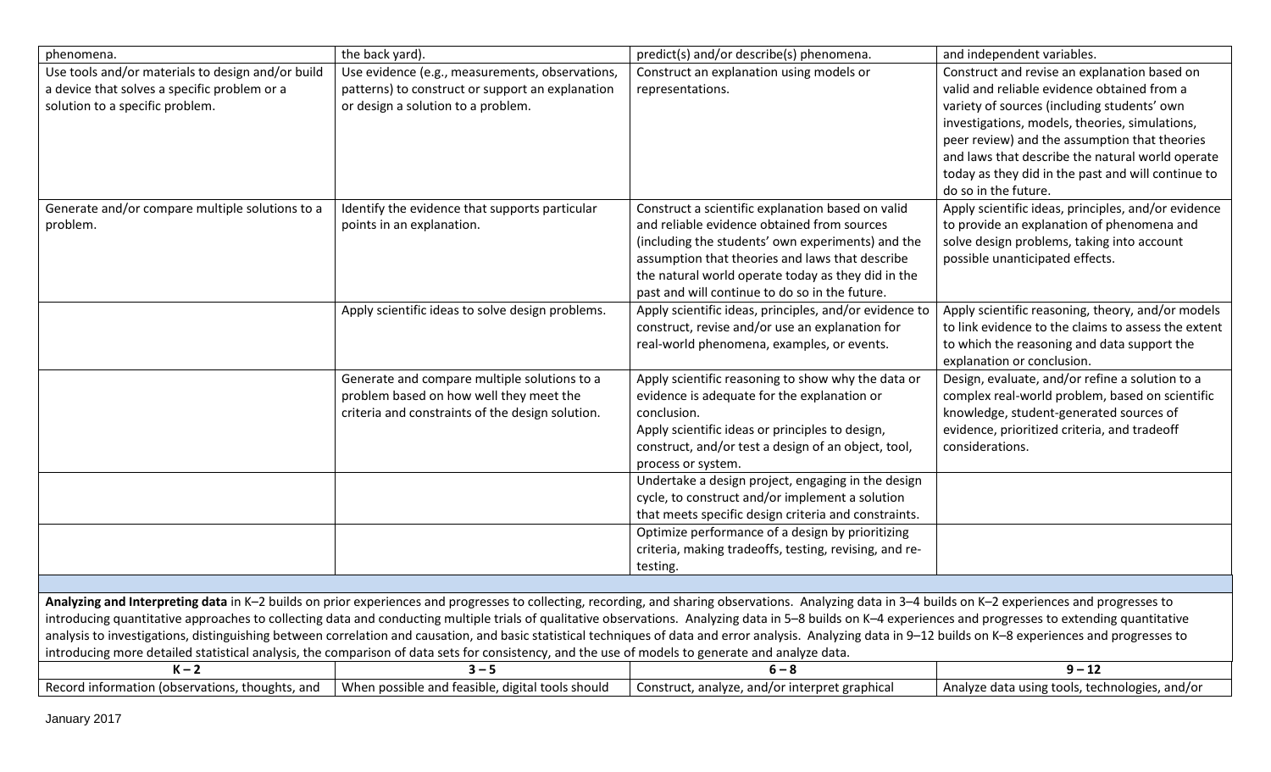| phenomena.                                                                                                                           | the back yard).                                                                                                                                  | predict(s) and/or describe(s) phenomena.                                                                                                                                                                                                                                                                                                                                                                                                                                                                                                                                                                                                | and independent variables.                                                                                                                                                                                                                                                                                                                                                      |
|--------------------------------------------------------------------------------------------------------------------------------------|--------------------------------------------------------------------------------------------------------------------------------------------------|-----------------------------------------------------------------------------------------------------------------------------------------------------------------------------------------------------------------------------------------------------------------------------------------------------------------------------------------------------------------------------------------------------------------------------------------------------------------------------------------------------------------------------------------------------------------------------------------------------------------------------------------|---------------------------------------------------------------------------------------------------------------------------------------------------------------------------------------------------------------------------------------------------------------------------------------------------------------------------------------------------------------------------------|
| Use tools and/or materials to design and/or build<br>a device that solves a specific problem or a<br>solution to a specific problem. | Use evidence (e.g., measurements, observations,<br>patterns) to construct or support an explanation<br>or design a solution to a problem.        | Construct an explanation using models or<br>representations.                                                                                                                                                                                                                                                                                                                                                                                                                                                                                                                                                                            | Construct and revise an explanation based on<br>valid and reliable evidence obtained from a<br>variety of sources (including students' own<br>investigations, models, theories, simulations,<br>peer review) and the assumption that theories<br>and laws that describe the natural world operate<br>today as they did in the past and will continue to<br>do so in the future. |
| Generate and/or compare multiple solutions to a<br>problem.                                                                          | Identify the evidence that supports particular<br>points in an explanation.                                                                      | Construct a scientific explanation based on valid<br>and reliable evidence obtained from sources<br>(including the students' own experiments) and the<br>assumption that theories and laws that describe<br>the natural world operate today as they did in the<br>past and will continue to do so in the future.                                                                                                                                                                                                                                                                                                                        | Apply scientific ideas, principles, and/or evidence<br>to provide an explanation of phenomena and<br>solve design problems, taking into account<br>possible unanticipated effects.                                                                                                                                                                                              |
|                                                                                                                                      | Apply scientific ideas to solve design problems.                                                                                                 | Apply scientific ideas, principles, and/or evidence to<br>construct, revise and/or use an explanation for<br>real-world phenomena, examples, or events.                                                                                                                                                                                                                                                                                                                                                                                                                                                                                 | Apply scientific reasoning, theory, and/or models<br>to link evidence to the claims to assess the extent<br>to which the reasoning and data support the<br>explanation or conclusion.                                                                                                                                                                                           |
|                                                                                                                                      | Generate and compare multiple solutions to a<br>problem based on how well they meet the<br>criteria and constraints of the design solution.      | Apply scientific reasoning to show why the data or<br>evidence is adequate for the explanation or<br>conclusion.<br>Apply scientific ideas or principles to design,<br>construct, and/or test a design of an object, tool,<br>process or system.                                                                                                                                                                                                                                                                                                                                                                                        | Design, evaluate, and/or refine a solution to a<br>complex real-world problem, based on scientific<br>knowledge, student-generated sources of<br>evidence, prioritized criteria, and tradeoff<br>considerations.                                                                                                                                                                |
|                                                                                                                                      |                                                                                                                                                  | Undertake a design project, engaging in the design<br>cycle, to construct and/or implement a solution<br>that meets specific design criteria and constraints.                                                                                                                                                                                                                                                                                                                                                                                                                                                                           |                                                                                                                                                                                                                                                                                                                                                                                 |
|                                                                                                                                      |                                                                                                                                                  | Optimize performance of a design by prioritizing<br>criteria, making tradeoffs, testing, revising, and re-<br>testing.                                                                                                                                                                                                                                                                                                                                                                                                                                                                                                                  |                                                                                                                                                                                                                                                                                                                                                                                 |
|                                                                                                                                      |                                                                                                                                                  |                                                                                                                                                                                                                                                                                                                                                                                                                                                                                                                                                                                                                                         |                                                                                                                                                                                                                                                                                                                                                                                 |
|                                                                                                                                      | introducing more detailed statistical analysis, the comparison of data sets for consistency, and the use of models to generate and analyze data. | Analyzing and Interpreting data in K-2 builds on prior experiences and progresses to collecting, recording, and sharing observations. Analyzing data in 3-4 builds on K-2 experiences and progresses to<br>introducing quantitative approaches to collecting data and conducting multiple trials of qualitative observations. Analyzing data in 5-8 builds on K-4 experiences and progresses to extending quantitative<br>analysis to investigations, distinguishing between correlation and causation, and basic statistical techniques of data and error analysis. Analyzing data in 9-12 builds on K-8 experiences and progresses to |                                                                                                                                                                                                                                                                                                                                                                                 |
| $K - 2$                                                                                                                              | $3 - 5$                                                                                                                                          | $6 - 8$                                                                                                                                                                                                                                                                                                                                                                                                                                                                                                                                                                                                                                 | $9 - 12$                                                                                                                                                                                                                                                                                                                                                                        |
| Record information (observations, thoughts, and                                                                                      | When possible and feasible, digital tools should                                                                                                 | Construct, analyze, and/or interpret graphical                                                                                                                                                                                                                                                                                                                                                                                                                                                                                                                                                                                          | Analyze data using tools, technologies, and/or                                                                                                                                                                                                                                                                                                                                  |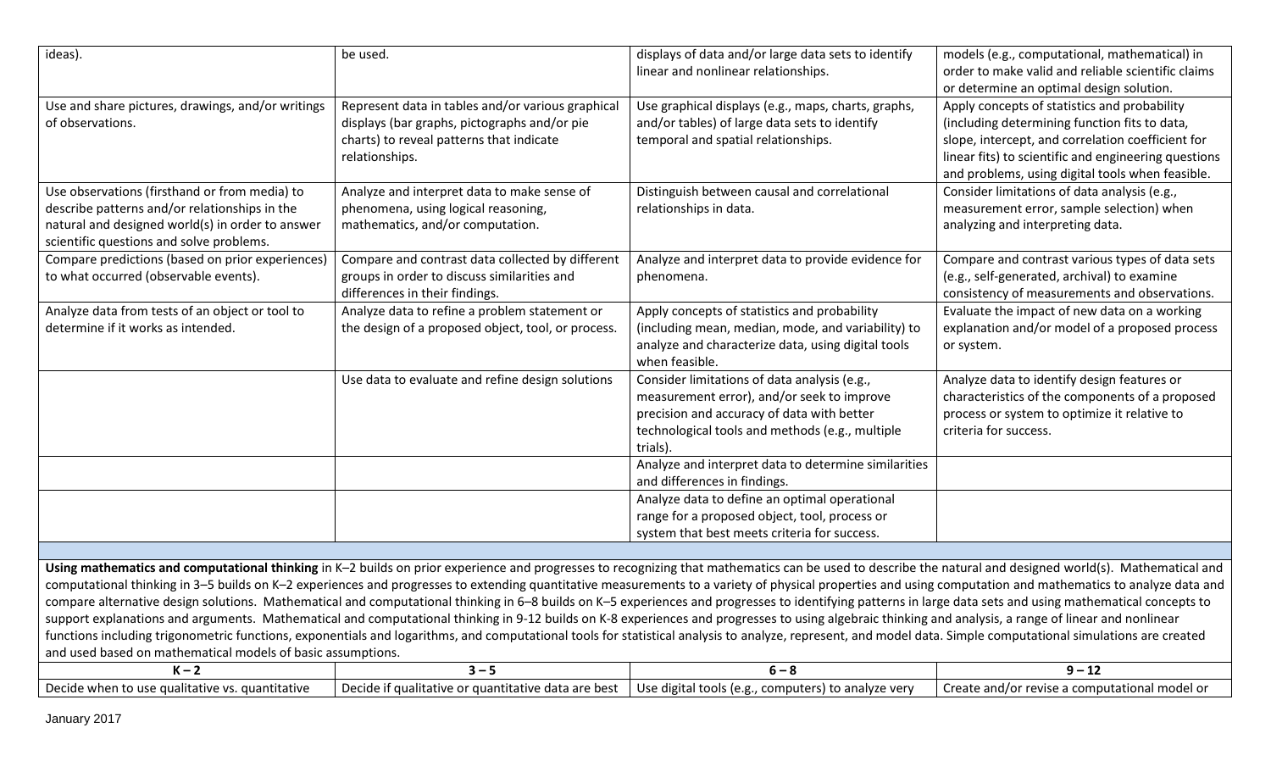| ideas).                                                                                                                                                                                                                                                                                                                                                                                                                                                                                                                                                                                                                                                                                                                                                                                                                                                                                                                                                                                                                                                                                                                            | be used.                                                                                                                                                        | displays of data and/or large data sets to identify<br>linear and nonlinear relationships.                                                                                                              | models (e.g., computational, mathematical) in<br>order to make valid and reliable scientific claims<br>or determine an optimal design solution.                                                                                                                |  |
|------------------------------------------------------------------------------------------------------------------------------------------------------------------------------------------------------------------------------------------------------------------------------------------------------------------------------------------------------------------------------------------------------------------------------------------------------------------------------------------------------------------------------------------------------------------------------------------------------------------------------------------------------------------------------------------------------------------------------------------------------------------------------------------------------------------------------------------------------------------------------------------------------------------------------------------------------------------------------------------------------------------------------------------------------------------------------------------------------------------------------------|-----------------------------------------------------------------------------------------------------------------------------------------------------------------|---------------------------------------------------------------------------------------------------------------------------------------------------------------------------------------------------------|----------------------------------------------------------------------------------------------------------------------------------------------------------------------------------------------------------------------------------------------------------------|--|
| Use and share pictures, drawings, and/or writings<br>of observations.                                                                                                                                                                                                                                                                                                                                                                                                                                                                                                                                                                                                                                                                                                                                                                                                                                                                                                                                                                                                                                                              | Represent data in tables and/or various graphical<br>displays (bar graphs, pictographs and/or pie<br>charts) to reveal patterns that indicate<br>relationships. | Use graphical displays (e.g., maps, charts, graphs,<br>and/or tables) of large data sets to identify<br>temporal and spatial relationships.                                                             | Apply concepts of statistics and probability<br>(including determining function fits to data,<br>slope, intercept, and correlation coefficient for<br>linear fits) to scientific and engineering questions<br>and problems, using digital tools when feasible. |  |
| Use observations (firsthand or from media) to<br>describe patterns and/or relationships in the<br>natural and designed world(s) in order to answer<br>scientific questions and solve problems.                                                                                                                                                                                                                                                                                                                                                                                                                                                                                                                                                                                                                                                                                                                                                                                                                                                                                                                                     | Analyze and interpret data to make sense of<br>phenomena, using logical reasoning,<br>mathematics, and/or computation.                                          | Distinguish between causal and correlational<br>relationships in data.                                                                                                                                  | Consider limitations of data analysis (e.g.,<br>measurement error, sample selection) when<br>analyzing and interpreting data.                                                                                                                                  |  |
| Compare predictions (based on prior experiences)<br>to what occurred (observable events).                                                                                                                                                                                                                                                                                                                                                                                                                                                                                                                                                                                                                                                                                                                                                                                                                                                                                                                                                                                                                                          | Compare and contrast data collected by different<br>groups in order to discuss similarities and<br>differences in their findings.                               | Analyze and interpret data to provide evidence for<br>phenomena.                                                                                                                                        | Compare and contrast various types of data sets<br>(e.g., self-generated, archival) to examine<br>consistency of measurements and observations.                                                                                                                |  |
| Analyze data from tests of an object or tool to<br>determine if it works as intended.                                                                                                                                                                                                                                                                                                                                                                                                                                                                                                                                                                                                                                                                                                                                                                                                                                                                                                                                                                                                                                              | Analyze data to refine a problem statement or<br>the design of a proposed object, tool, or process.                                                             | Apply concepts of statistics and probability<br>(including mean, median, mode, and variability) to<br>analyze and characterize data, using digital tools<br>when feasible.                              | Evaluate the impact of new data on a working<br>explanation and/or model of a proposed process<br>or system.                                                                                                                                                   |  |
|                                                                                                                                                                                                                                                                                                                                                                                                                                                                                                                                                                                                                                                                                                                                                                                                                                                                                                                                                                                                                                                                                                                                    | Use data to evaluate and refine design solutions                                                                                                                | Consider limitations of data analysis (e.g.,<br>measurement error), and/or seek to improve<br>precision and accuracy of data with better<br>technological tools and methods (e.g., multiple<br>trials). | Analyze data to identify design features or<br>characteristics of the components of a proposed<br>process or system to optimize it relative to<br>criteria for success.                                                                                        |  |
|                                                                                                                                                                                                                                                                                                                                                                                                                                                                                                                                                                                                                                                                                                                                                                                                                                                                                                                                                                                                                                                                                                                                    |                                                                                                                                                                 | Analyze and interpret data to determine similarities<br>and differences in findings.                                                                                                                    |                                                                                                                                                                                                                                                                |  |
|                                                                                                                                                                                                                                                                                                                                                                                                                                                                                                                                                                                                                                                                                                                                                                                                                                                                                                                                                                                                                                                                                                                                    |                                                                                                                                                                 | Analyze data to define an optimal operational<br>range for a proposed object, tool, process or<br>system that best meets criteria for success.                                                          |                                                                                                                                                                                                                                                                |  |
|                                                                                                                                                                                                                                                                                                                                                                                                                                                                                                                                                                                                                                                                                                                                                                                                                                                                                                                                                                                                                                                                                                                                    |                                                                                                                                                                 |                                                                                                                                                                                                         |                                                                                                                                                                                                                                                                |  |
| Using mathematics and computational thinking in K-2 builds on prior experience and progresses to recognizing that mathematics can be used to describe the natural and designed world(s). Mathematical and<br>computational thinking in 3-5 builds on K-2 experiences and progresses to extending quantitative measurements to a variety of physical properties and using computation and mathematics to analyze data and<br>compare alternative design solutions. Mathematical and computational thinking in 6-8 builds on K-5 experiences and progresses to identifying patterns in large data sets and using mathematical concepts to<br>support explanations and arguments. Mathematical and computational thinking in 9-12 builds on K-8 experiences and progresses to using algebraic thinking and analysis, a range of linear and nonlinear<br>functions including trigonometric functions, exponentials and logarithms, and computational tools for statistical analysis to analyze, represent, and model data. Simple computational simulations are created<br>and used based on mathematical models of basic assumptions. |                                                                                                                                                                 |                                                                                                                                                                                                         |                                                                                                                                                                                                                                                                |  |
| $K - 2$                                                                                                                                                                                                                                                                                                                                                                                                                                                                                                                                                                                                                                                                                                                                                                                                                                                                                                                                                                                                                                                                                                                            | $3 - 5$                                                                                                                                                         | $6 - 8$                                                                                                                                                                                                 | $9 - 12$                                                                                                                                                                                                                                                       |  |

| Decide when to use qualitative vs. quantitative | $\sim$   Decide if qualitative or quantitative data are best   Use digital tools (e.g., computers) to analyze very $\sim$ | Create and/or revise a computational model or |
|-------------------------------------------------|---------------------------------------------------------------------------------------------------------------------------|-----------------------------------------------|
|                                                 |                                                                                                                           |                                               |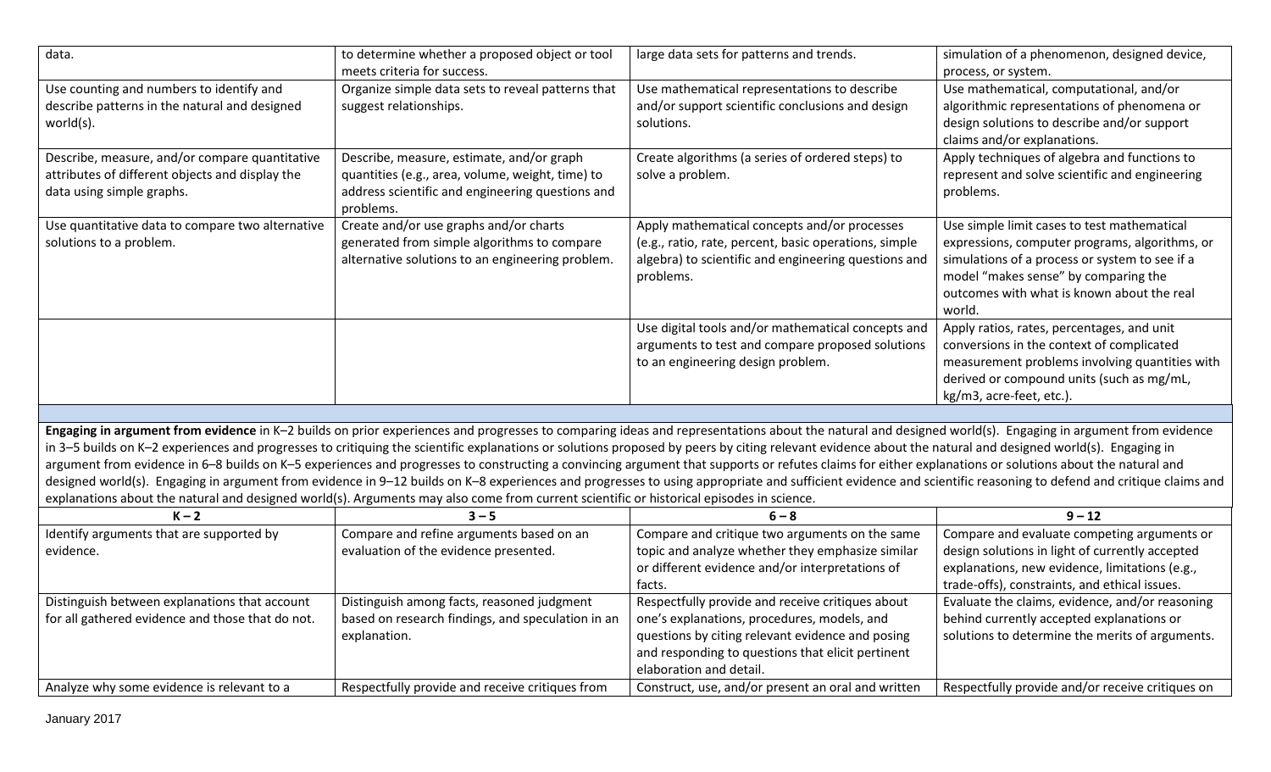| data.                                                                                                                                    | to determine whether a proposed object or tool<br>meets criteria for success.                                                                                                                                                                                                                                                                                                                                                                                                                                                                                                                                                                                                                                                                                                                                                                     | large data sets for patterns and trends.                                                                                                                                                                                            | simulation of a phenomenon, designed device,<br>process, or system.                                                                                                                                                                             |  |
|------------------------------------------------------------------------------------------------------------------------------------------|---------------------------------------------------------------------------------------------------------------------------------------------------------------------------------------------------------------------------------------------------------------------------------------------------------------------------------------------------------------------------------------------------------------------------------------------------------------------------------------------------------------------------------------------------------------------------------------------------------------------------------------------------------------------------------------------------------------------------------------------------------------------------------------------------------------------------------------------------|-------------------------------------------------------------------------------------------------------------------------------------------------------------------------------------------------------------------------------------|-------------------------------------------------------------------------------------------------------------------------------------------------------------------------------------------------------------------------------------------------|--|
| Use counting and numbers to identify and<br>describe patterns in the natural and designed<br>world(s).                                   | Organize simple data sets to reveal patterns that<br>suggest relationships.                                                                                                                                                                                                                                                                                                                                                                                                                                                                                                                                                                                                                                                                                                                                                                       | Use mathematical representations to describe<br>and/or support scientific conclusions and design<br>solutions.                                                                                                                      | Use mathematical, computational, and/or<br>algorithmic representations of phenomena or<br>design solutions to describe and/or support<br>claims and/or explanations.                                                                            |  |
| Describe, measure, and/or compare quantitative<br>attributes of different objects and display the<br>data using simple graphs.           | Describe, measure, estimate, and/or graph<br>quantities (e.g., area, volume, weight, time) to<br>address scientific and engineering questions and<br>problems.                                                                                                                                                                                                                                                                                                                                                                                                                                                                                                                                                                                                                                                                                    | Create algorithms (a series of ordered steps) to<br>solve a problem.                                                                                                                                                                | Apply techniques of algebra and functions to<br>represent and solve scientific and engineering<br>problems.                                                                                                                                     |  |
| Use quantitative data to compare two alternative<br>solutions to a problem.                                                              | Create and/or use graphs and/or charts<br>generated from simple algorithms to compare<br>alternative solutions to an engineering problem.                                                                                                                                                                                                                                                                                                                                                                                                                                                                                                                                                                                                                                                                                                         | Apply mathematical concepts and/or processes<br>(e.g., ratio, rate, percent, basic operations, simple<br>algebra) to scientific and engineering questions and<br>problems.                                                          | Use simple limit cases to test mathematical<br>expressions, computer programs, algorithms, or<br>simulations of a process or system to see if a<br>model "makes sense" by comparing the<br>outcomes with what is known about the real<br>world. |  |
|                                                                                                                                          |                                                                                                                                                                                                                                                                                                                                                                                                                                                                                                                                                                                                                                                                                                                                                                                                                                                   | Use digital tools and/or mathematical concepts and<br>arguments to test and compare proposed solutions<br>to an engineering design problem.                                                                                         | Apply ratios, rates, percentages, and unit<br>conversions in the context of complicated<br>measurement problems involving quantities with<br>derived or compound units (such as mg/mL,<br>kg/m3, acre-feet, etc.).                              |  |
|                                                                                                                                          |                                                                                                                                                                                                                                                                                                                                                                                                                                                                                                                                                                                                                                                                                                                                                                                                                                                   |                                                                                                                                                                                                                                     |                                                                                                                                                                                                                                                 |  |
| explanations about the natural and designed world(s). Arguments may also come from current scientific or historical episodes in science. | Engaging in argument from evidence in K-2 builds on prior experiences and progresses to comparing ideas and representations about the natural and designed world(s). Engaging in argument from evidence<br>in 3-5 builds on K-2 experiences and progresses to critiquing the scientific explanations or solutions proposed by peers by citing relevant evidence about the natural and designed world(s). Engaging in<br>argument from evidence in 6-8 builds on K-5 experiences and progresses to constructing a convincing argument that supports or refutes claims for either explanations or solutions about the natural and<br>designed world(s). Engaging in argument from evidence in 9-12 builds on K-8 experiences and progresses to using appropriate and sufficient evidence and scientific reasoning to defend and critique claims and |                                                                                                                                                                                                                                     |                                                                                                                                                                                                                                                 |  |
| $K - 2$                                                                                                                                  | $3 - 5$                                                                                                                                                                                                                                                                                                                                                                                                                                                                                                                                                                                                                                                                                                                                                                                                                                           | $6 - 8$                                                                                                                                                                                                                             | $9 - 12$                                                                                                                                                                                                                                        |  |
| Identify arguments that are supported by<br>evidence.                                                                                    | Compare and refine arguments based on an<br>evaluation of the evidence presented.                                                                                                                                                                                                                                                                                                                                                                                                                                                                                                                                                                                                                                                                                                                                                                 | Compare and critique two arguments on the same<br>topic and analyze whether they emphasize similar<br>or different evidence and/or interpretations of<br>facts.                                                                     | Compare and evaluate competing arguments or<br>design solutions in light of currently accepted<br>explanations, new evidence, limitations (e.g.,<br>trade-offs), constraints, and ethical issues.                                               |  |
| Distinguish between explanations that account<br>for all gathered evidence and those that do not.                                        | Distinguish among facts, reasoned judgment<br>based on research findings, and speculation in an<br>explanation.                                                                                                                                                                                                                                                                                                                                                                                                                                                                                                                                                                                                                                                                                                                                   | Respectfully provide and receive critiques about<br>one's explanations, procedures, models, and<br>questions by citing relevant evidence and posing<br>and responding to questions that elicit pertinent<br>elaboration and detail. | Evaluate the claims, evidence, and/or reasoning<br>behind currently accepted explanations or<br>solutions to determine the merits of arguments.                                                                                                 |  |
| Analyze why some evidence is relevant to a                                                                                               | Respectfully provide and receive critiques from                                                                                                                                                                                                                                                                                                                                                                                                                                                                                                                                                                                                                                                                                                                                                                                                   | Construct, use, and/or present an oral and written                                                                                                                                                                                  | Respectfully provide and/or receive critiques on                                                                                                                                                                                                |  |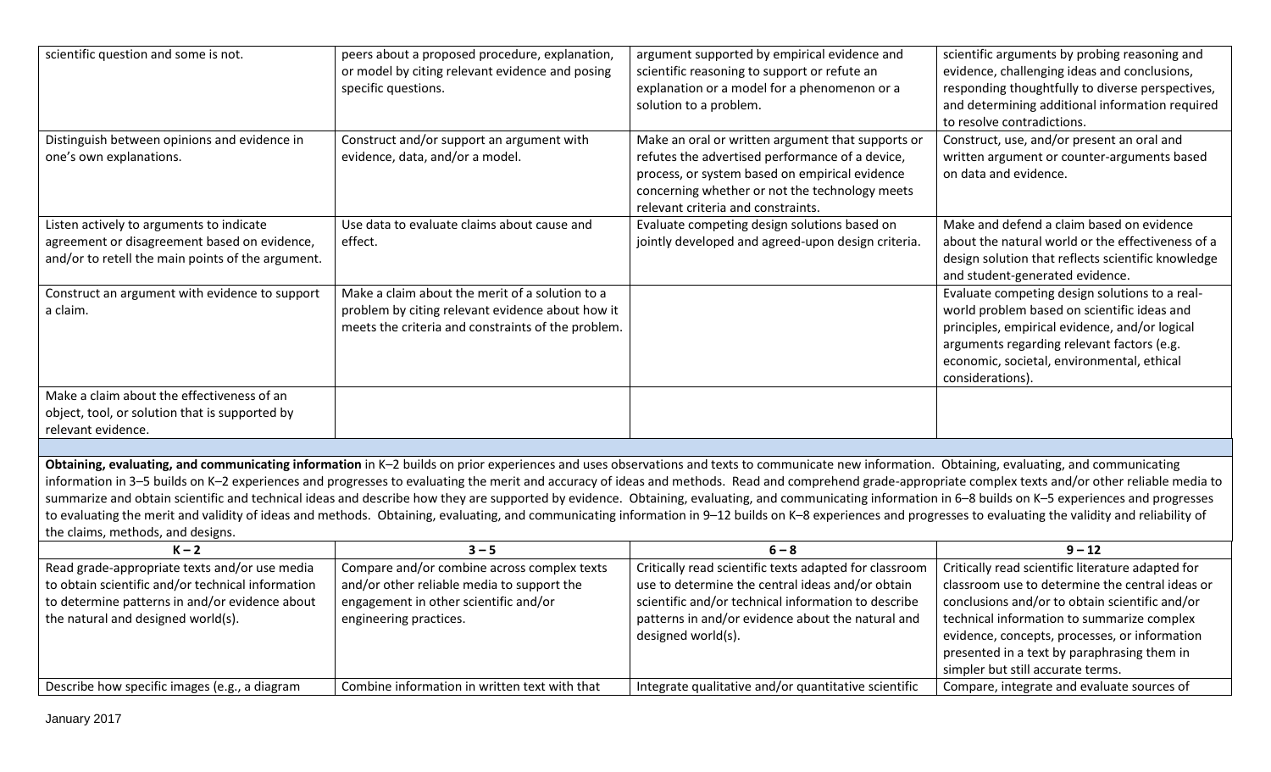| scientific question and some is not.              | peers about a proposed procedure, explanation,     | argument supported by empirical evidence and                                                                                                                                                                   | scientific arguments by probing reasoning and      |
|---------------------------------------------------|----------------------------------------------------|----------------------------------------------------------------------------------------------------------------------------------------------------------------------------------------------------------------|----------------------------------------------------|
|                                                   | or model by citing relevant evidence and posing    | scientific reasoning to support or refute an                                                                                                                                                                   | evidence, challenging ideas and conclusions,       |
|                                                   | specific questions.                                | explanation or a model for a phenomenon or a                                                                                                                                                                   | responding thoughtfully to diverse perspectives,   |
|                                                   |                                                    | solution to a problem.                                                                                                                                                                                         | and determining additional information required    |
|                                                   |                                                    |                                                                                                                                                                                                                | to resolve contradictions.                         |
| Distinguish between opinions and evidence in      | Construct and/or support an argument with          | Make an oral or written argument that supports or                                                                                                                                                              | Construct, use, and/or present an oral and         |
| one's own explanations.                           | evidence, data, and/or a model.                    | refutes the advertised performance of a device,                                                                                                                                                                | written argument or counter-arguments based        |
|                                                   |                                                    | process, or system based on empirical evidence                                                                                                                                                                 | on data and evidence.                              |
|                                                   |                                                    | concerning whether or not the technology meets                                                                                                                                                                 |                                                    |
|                                                   |                                                    | relevant criteria and constraints.                                                                                                                                                                             |                                                    |
| Listen actively to arguments to indicate          | Use data to evaluate claims about cause and        | Evaluate competing design solutions based on                                                                                                                                                                   | Make and defend a claim based on evidence          |
| agreement or disagreement based on evidence,      | effect.                                            | jointly developed and agreed-upon design criteria.                                                                                                                                                             | about the natural world or the effectiveness of a  |
| and/or to retell the main points of the argument. |                                                    |                                                                                                                                                                                                                | design solution that reflects scientific knowledge |
|                                                   |                                                    |                                                                                                                                                                                                                | and student-generated evidence.                    |
| Construct an argument with evidence to support    | Make a claim about the merit of a solution to a    |                                                                                                                                                                                                                | Evaluate competing design solutions to a real-     |
| a claim.                                          | problem by citing relevant evidence about how it   |                                                                                                                                                                                                                | world problem based on scientific ideas and        |
|                                                   | meets the criteria and constraints of the problem. |                                                                                                                                                                                                                | principles, empirical evidence, and/or logical     |
|                                                   |                                                    |                                                                                                                                                                                                                | arguments regarding relevant factors (e.g.         |
|                                                   |                                                    |                                                                                                                                                                                                                | economic, societal, environmental, ethical         |
|                                                   |                                                    |                                                                                                                                                                                                                | considerations).                                   |
| Make a claim about the effectiveness of an        |                                                    |                                                                                                                                                                                                                |                                                    |
| object, tool, or solution that is supported by    |                                                    |                                                                                                                                                                                                                |                                                    |
| relevant evidence.                                |                                                    |                                                                                                                                                                                                                |                                                    |
|                                                   |                                                    |                                                                                                                                                                                                                |                                                    |
|                                                   |                                                    | Obtaining, evaluating, and communicating information in K-2 builds on prior experiences and uses observations and texts to communicate new information. Obtaining, evaluating, and communicating               |                                                    |
|                                                   |                                                    | information in 3-5 builds on K-2 experiences and progresses to evaluating the merit and accuracy of ideas and methods. Read and comprehend grade-appropriate complex texts and/or other reliable media to      |                                                    |
|                                                   |                                                    | summarize and obtain scientific and technical ideas and describe how they are supported by evidence. Obtaining, evaluating, and communicating information in 6-8 builds on K-5 experiences and progresses      |                                                    |
|                                                   |                                                    | to evaluating the merit and validity of ideas and methods. Obtaining, evaluating, and communicating information in 9-12 builds on K-8 experiences and progresses to evaluating the validity and reliability of |                                                    |
| the claims, methods, and designs.                 |                                                    |                                                                                                                                                                                                                |                                                    |
| $K - 2$                                           | $3 - 5$                                            | $6 - 8$                                                                                                                                                                                                        | $9 - 12$                                           |
| Read grade-appropriate texts and/or use media     | Compare and/or combine across complex texts        | Critically read scientific texts adapted for classroom                                                                                                                                                         | Critically read scientific literature adapted for  |
| to obtain scientific and/or technical information | and/or other reliable media to support the         | use to determine the central ideas and/or obtain                                                                                                                                                               | classroom use to determine the central ideas or    |
| to determine patterns in and/or evidence about    | engagement in other scientific and/or              | scientific and/or technical information to describe                                                                                                                                                            | conclusions and/or to obtain scientific and/or     |
| the natural and designed world(s).                | engineering practices.                             | patterns in and/or evidence about the natural and                                                                                                                                                              | technical information to summarize complex         |
|                                                   |                                                    | designed world(s).                                                                                                                                                                                             | evidence, concepts, processes, or information      |
|                                                   |                                                    |                                                                                                                                                                                                                | presented in a text by paraphrasing them in        |
|                                                   |                                                    |                                                                                                                                                                                                                | simpler but still accurate terms.                  |
| Describe how specific images (e.g., a diagram     | Combine information in written text with that      | Integrate qualitative and/or quantitative scientific                                                                                                                                                           | Compare, integrate and evaluate sources of         |